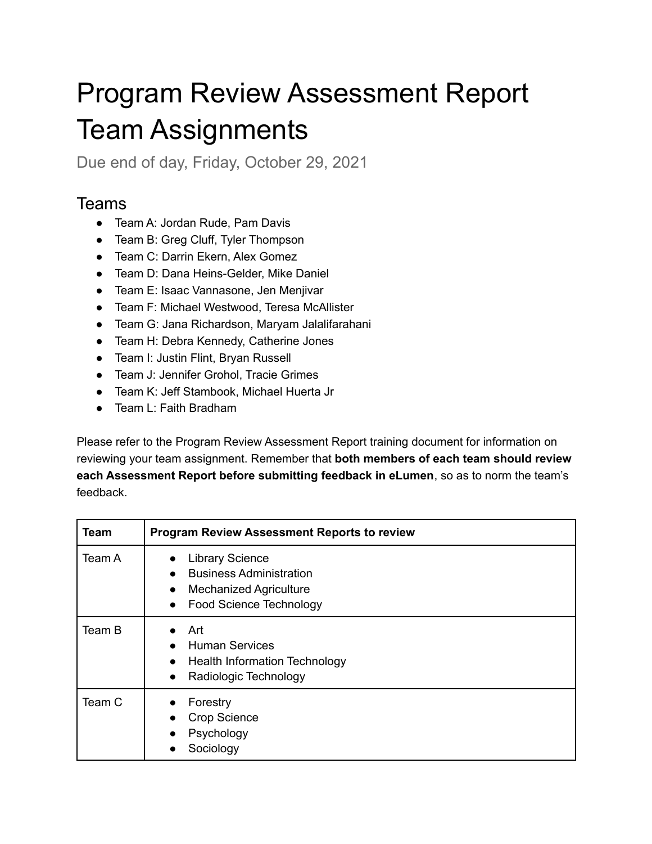## Program Review Assessment Report Team Assignments

Due end of day, Friday, October 29, 2021

## Teams

- Team A: Jordan Rude, Pam Davis
- Team B: Greg Cluff, Tyler Thompson
- Team C: Darrin Ekern, Alex Gomez
- Team D: Dana Heins-Gelder, Mike Daniel
- Team E: Isaac Vannasone, Jen Menjivar
- Team F: Michael Westwood, Teresa McAllister
- Team G: Jana Richardson, Maryam Jalalifarahani
- Team H: Debra Kennedy, Catherine Jones
- Team I: Justin Flint, Bryan Russell
- Team J: Jennifer Grohol, Tracie Grimes
- Team K: Jeff Stambook, Michael Huerta Jr
- Team L: Faith Bradham

Please refer to the Program Review Assessment Report training document for information on reviewing your team assignment. Remember that **both members of each team should review each Assessment Report before submitting feedback in eLumen**, so as to norm the team's feedback.

| Team   | <b>Program Review Assessment Reports to review</b>                                                                                                                 |
|--------|--------------------------------------------------------------------------------------------------------------------------------------------------------------------|
| Team A | <b>Library Science</b><br>$\bullet$<br><b>Business Administration</b><br><b>Mechanized Agriculture</b><br>$\bullet$<br><b>Food Science Technology</b><br>$\bullet$ |
| Team B | Art<br><b>Human Services</b><br><b>Health Information Technology</b><br>$\bullet$<br>Radiologic Technology<br>$\bullet$                                            |
| Team C | Forestry<br>$\bullet$<br><b>Crop Science</b><br>Psychology<br>Sociology                                                                                            |